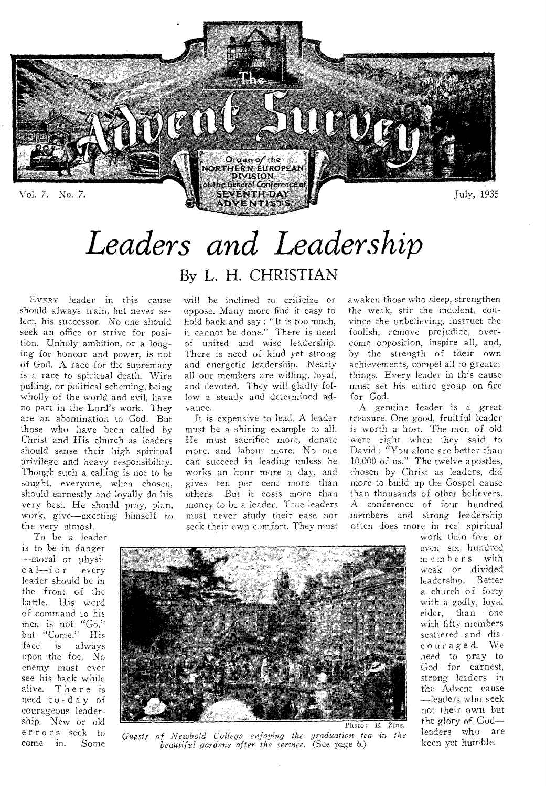

# *Leaders and Leadership*

EVERY leader in this cause should always train, but never select, his successor. No one should seek an office or strive for position. Unholy ambition, or a longing for honour and power, is not of God. A race for the supremacy is a race to spiritual death. Wire pulling, or political scheming, being wholly of the world and evil, have no part in the Lord's work. They are an abomination to God. But those who have been called by Christ and His church as leaders should sense their high spiritual privilege and heavy responsibility. Though such a calling is not to be sought, everyone, when chosen, should earnestly and loyally do his very best. He should pray, plan, work, give—exerting himself to the very utmost.

To be a leader is to be in danger —moral or physi-<br>cal—for every  $cal$  a l—f o r leader should be in the front of the battle. His word of command to his men is not "Go," but "Come." His face is always upon the foe. No enemy must ever see his back while alive. There is need to-day of courageous leadership. New or old errors seek to come in. Some

### By L. H. CHRISTIAN

will be inclined to criticize or oppose. Many more find it easy to hold back and say : "It is too much, it cannot be done." There is need of united and wise.leadership. There is need of kind yet strong and energetic leadership. Nearly all our members are willing, loyal, and devoted. They will gladly follow a steady and determined advance.

It is expensive to lead. A leader must be a shining example to all. He must sacrifice more, donate more, and labour more. No one can succeed in leading unless he works an hour more a day, and gives ten per cent more than others. But it costs more than money to be a leader. True leaders must never study their ease nor seek their own comfort. They must awaken those who sleep, strengthen the weak, stir the indolent, convince the unbelieving, instruct the foolish, remove prejudice, overcome opposition, inspire all, and, by the strength of their own achievements, compel all to greater things. Every leader in this cause must set his entire group on fire for God.

A genuine leader is a great treasure. One good, fruitful leader is worth a host. The men of old were right when they said to David : "You alone are better than 10,000 of us." The twelve apostles, chosen by Christ as leaders, did more to build up the Gospel cause than thousands of other believers. *A* conference of four hundred members and strong leadership often does more in real spiritual



work than five or even six hundred members with weak or divided leadership. Better a church of forty with a godly, loyal elder, than one with fifty members scattered and discouraged. We need to pray to God for earnest, strong leaders in the Advent cause —leaders who seek not their own but the glory of God leaders who are keen yet humble.

Guests of Newbold College enjoying the graduation tea in the *beautiful gardens after the service.* (See page 6.)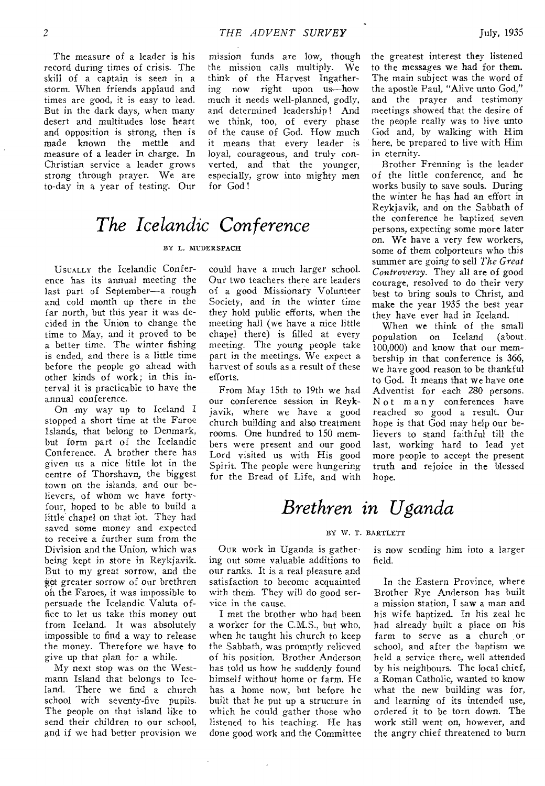The measure of a leader is his record during times of crisis. The skill of a captain is seen in a storm. When friends applaud and times are good, it is easy to lead. But in the dark days, when many desert and multitudes lose heart and opposition is strong, then is made known the mettle and measure of a leader in charge. In Christian service a leader grows strong through prayer. We are to-day in a year of testing. Our

mission funds are low, though the mission calls multiply. We think of the Harvest Ingathering now right upon us—how much it needs well-planned, godly, and determined leadership ! And we think, too, of every phase of the cause of God. How much it means that every leader is loyal, courageous, and truly converted, and that the younger, especially, grow into mighty men for God !

### *The Icelandic Conference*

#### BY L. MIJDERSPACH

USUALLY the Icelandic Conference has its annual meeting the last part of September—a rough and cold month up there in the far north, but this year it was decided in the Union to change the time to May, and it proved to be a better time. The winter fishing is ended, and there is a little time before the people go ahead with other kinds of work; in this interval it is practicable to have the annual conference.

On my way up to Iceland I stopped a short time at the Faroe Islands, that belong to Denmark, but form part of the Icelandic Conference. A brother there has given us a nice little lot in the centre of Thorshavn, the biggest town on the islands, and our believers, of whom we have fortyfour, hoped to be able to build a little chapel on that lot. They had saved some money and expected to receive a further sum from the Division and the Union, which was being kept in store in Reykjavik. But to my great sorrow, and the Set greater sorrow of our brethren oh the Faroes, it was impossible to persuade the Icelandic Valuta office to let us take this money out from Iceland. It was absolutely impossible to find a way to release the money. Therefore we have to give up that plan for a while.

My next stop was on the Westmann Island that belongs to Iceland. There we find a church school with seventy-five pupils. The people on that island like to send their children to our school, and if we had better provision we could have a much larger school. Our two teachers there are leaders of a good Missionary Volunteer Society, and in the winter time they hold public efforts, when the meeting hall (we have a nice little chapel there) is filled at every meeting. The young people take part in the meetings. We expect a harvest of souls as a result of these efforts.

From May 15th to 19th we had our conference session in Reykjavik, where we have a good church building and also treatment rooms. One hundred to 150 members were present and our good Lord visited us with His good Spirit. The people were hungering for the Bread of Life, and with

the greatest interest they listened to the messages we had for them. The main subject was the word of the apostle Paul, "Alive unto God," and the prayer and testimony meetings showed that the desire of the people really was to live unto God and, by walking with Him here, be prepared to live with Him in eternity.

Brother Frenning is the leader of the little conference, and he works busily to save souls. During the winter he has had an effort in Reykjavik, and on the Sabbath of the conference he baptized seven persons, expecting some more later on. We have a very few workers, some of them colporteurs who this summer are going to sell *The Great Controversy.* They all are of good courage, resolved to do their very best to bring souls to Christ, and make the year 1935 the best year they have ever had in Iceland.

When we think of the small population on Iceland (about 100,000) and know that our membership in that conference is 366, we have good reason to be thankful to God. It means that we have one Adventist for each 280 persons. Not many conferences have reached so good a result. Our hope is that God may help our believers to stand faithful till the last, working hard to lead yet more people to accept the present truth and rejoice in the blessed hope.

### *Brethren in Uganda*

#### BY W. T. BARTLETT

OuR work in Uganda is gathering out some valuable additions to our ranks. It is a real pleasure and satisfaction to become acquainted with them. They will do good service in the cause.

I met the brother who had been a worker for the C.M.S., but who, when he taught his church to keep the Sabbath, was promptly relieved of his position. Brother Anderson has told us how he suddenly found himself without home or farm. He has a home now, but before he built that he put up a structure in which he could gather those who listened to his teaching. He has done good work and the Committee is now sending him into a larger field.

In the Eastern Province, where Brother Rye Anderson has built a mission station, I saw a man and his wife baptized. In his zeal he had already built a place on his farm to serve as a church or school, and after the baptism we held a service there, well attended by his neighbours. The local chief, a Roman Catholic, wanted to know what the new building was for, and learning of its intended use, ordered it to be torn down. The work still went on, however, and the angry chief threatened to burn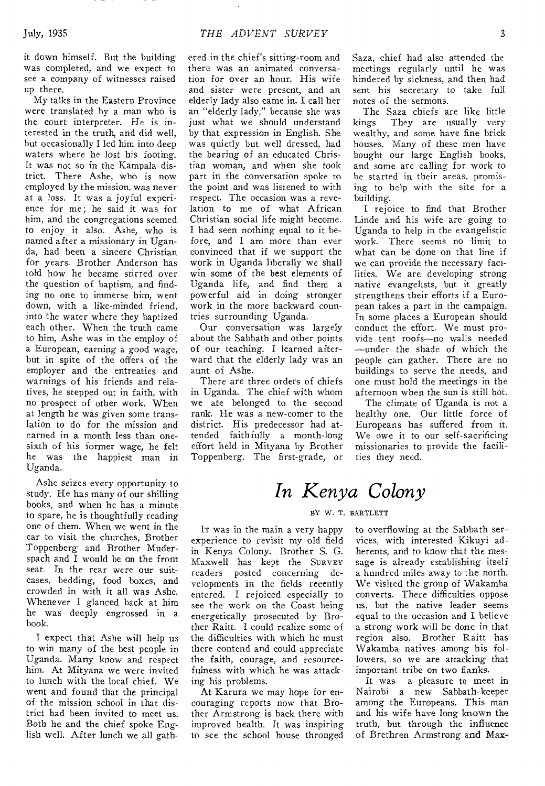it down himself. But the building was completed, and we expect to see a company of witnesses raised up there.

My talks in the Eastern Province were translated by a man who is the court interpreter. He is interested in the truth, and did well, but occasionally I led him into deep waters where he lost his footing. It was not so in the Kampala district. There Ashe, who is now employed by the mission, was never at a loss. It was a joyful experience for me; he said it was for him, and the congregations seemed to enjoy it also. Ashe, who is named after a missionary in Uganda, had been a sincere Christian for years. Brother Anderson has told how he became stirred over the question of baptism, and finding no one to immerse him, went down, with a like-minded friend, into the water where they baptized each other. When the truth came to him, Ashe was in the employ of a European, earning a good wage, but in spite of the offers of the employer and the entreaties and warnings of his friends and relatives, he stepped out in faith, with no prospect of other work. When at length he was given some translation to do for the mission and earned in a month less than onesixth of his former wage, he felt he was the happiest man in Uganda.

Ashe seizes every opportunity to study. He has many of our shilling books, and when he has a minute to spare, he is thoughtfully reading one of them. When we went in the car to visit the churches, Brother Toppenberg and Brother Muderspach and I would be on the front seat. In the rear were our suitcases, bedding, food boxes, and crowded in with it all was Ashe. Whenever I glanced back at him he was deeply engrossed in a book.

I expect that Ashe will help us to win many of the best people in Uganda. Marry know and respect him. At Mityana we were invited to lunch with the local chief. We went and found that the principal of the mission school in that district had been invited to meet us. Both he and the chief spoke English well. After lunch we all gathered in the chief's sitting-room and there was an animated conversation for over an hour. His wife and sister were present, and an elderly lady also came in. I call her an "elderly lady," because she was just what we should understand by that expression in English. She was quietly but well dressed, had the bearing of an educated Christian woman, and when she took part in the conversation spoke to the point and was listened to with respect. The occasion was a revelation to me of what African Christian social life might become. I had seen nothing equal to it before, and I am more than ever convinced that if we support the work in Uganda liberally we shall win some of the best elements of Uganda life, and find them a powerful aid in doing stronger work in the more backward countries surrounding Uganda.

Our conversation was largely about the Sabbath and other points of our teaching. I learned afterward that the elderly lady was an aunt of Ashe.

There are three orders of chiefs in Uganda. The chief with whom we ate belonged to the second rank. He was a new-comer to the district. His predecessor had attended faithfully a month-long effort held in Mityana by Brother Toppenberg. The first-grade, or

Saza, chief had also attended the meetings regularly until he was hindered by sickness, and then had sent his secretary to take full notes of the sermons.

The Saza chiefs are like little kings. They are usually very wealthy, and some have fine brick houses. Many of these men have bought our large English books, and some are calling for work to be started in their areas, promising to help with the site for a building.

I rejoice to find that Brother Linde and his wife are going to Uganda to help in the evangelistic work. There seems no limit to what can be done on that line if we can provide the necessary facilities. We are developing strong native evangelists, but it greatly strengthens their efforts if a European takes a part in the campaign. In some places a European should conduct the effort. We must provide tent roofs—no walls needed —under the shade of which the people can gather. There are no buildings to serve the needs, and one must hold the meetings in the afternoon when the sun is still hot.

The climate of Uganda is not a healthy one. Our little force of Europeans has suffered from it. We owe it to our self-sacrificing missionaries to provide the facilities they need.

### *In Kenya Colony*

#### BY W. T. BARTLETT

IT was in the main a very happy experience to revisit my old field in Kenya Colony. Brother S. G. Maxwell has kept the SURVEY readers posted concerning developments in the fields recently entered. I rejoiced especially to see the work on the Coast being energetically prosecuted by Brother Raitt. I could realize some of the difficulties with which he must there contend and could appreciate the faith, courage, and resourcefulness with which he was attacking his problems.

At Karura we may hope for encouraging reports now that Brother Armstrong is back there with improved health. It was inspiring to see the school house thronged

to overflowing at the Sabbath services, with interested Kikuyi adherents, and to know that the message is already establishing itself a hundred miles away to the north. We visited the group of Wakamba converts. There difficulties oppose us, but the native leader seems equal to the occasion and I believe a strong work will be done in that region also. Brother Raitt has Wakamba natives among his followers, so we are attacking that important tribe on two flanks.

It was a pleasure to meet in Nairobi a new Sabbath-keeper among the Europeans. This man and his wife have long known the truth, but through the influence of Brethren Armstrong and Max-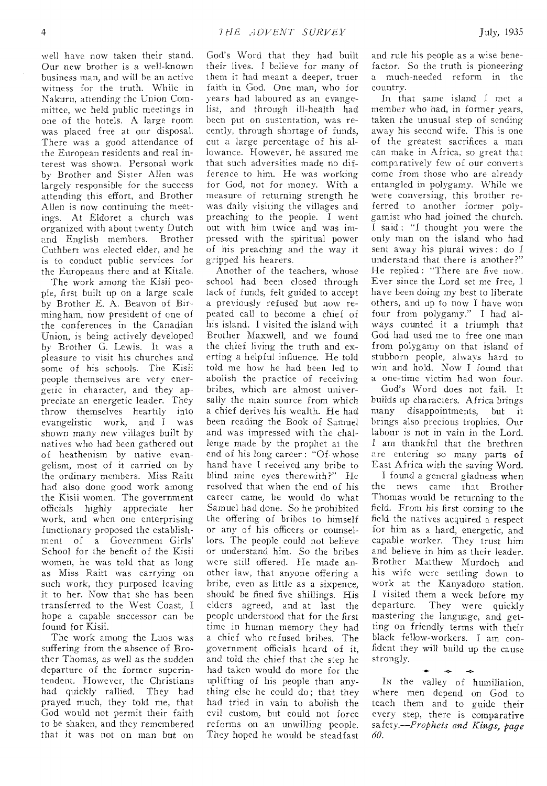well have now taken their stand. Our new brother is a well-known business man, and will be an active witness for the truth. While in Nakuru, attending the Union Committee, we held public meetings in one of the hotels. A large room was placed free at our disposal. There was a good attendance of the European residents and real interest was shown. Personal work by Brother and Sister Allen was largely responsible for the success attending this effort, and Brother Allen is now continuing the meetings. At Eldoret a church was organized with about twenty Dutch and English members. Brother Cuthbert was elected elder, and he is to conduct public services for the Europeans there and at Kitale.

The work among the Kisii people, first built up on a large scale by Brother E. A. Beavon of Birmingham, now president of one of the conferences in the Canadian Union, is being actively developed by Brother G. Lewis. It was a pleasure to visit his churches and some of his schools. The Kisii people themselves are very energetic in character, and they appreciate an energetic leader. They throw themselves heartily into evangelistic work, and I was shown many new villages built by natives who had been gathered out of heathenism by native evangelism, most of it carried on by the ordinary members. Miss Raitt had also done good work among the Kisii women. The government officials highly appreciate her work, and when one enterprising functionary proposed the establishment of a Government Girls' School for the benefit of the Kisii women, he was told that as long as Miss Raitt was carrying on such work, they purposed leaving it to her. Now that she has been transferred to the West Coast, I hope a capable successor can be found for Kisii.

The work among the Luos was suffering from the absence of Brother Thomas, as well as the sudden departure of the former superintendent. However, the Christians had quickly rallied. They had prayed much, they told me, that God would not permit their faith to be shaken, and they remembered that it was not on man but on God's Word that they had built their lives. I believe for many of them it had meant a deeper, truer faith in God. One man, who for years had laboured as an evangelist, and through ill-health had been put on sustcntation, was recently, through shortage of funds, cut a large percentage of his allowance. However, he assured me that such adversities made no difference to him. He was working for God, not for money. With a measure of returning strength he was daily visiting the villages and preaching to the people. I went out with him twice and was impressed with the spiritual power of his preaching and the way it gripped his hearers.

Another of the teachers, whose school had been closed through lack of funds, felt guided to accept a previously refused but now repeated call to become a chief of his island. I visited the island with Brother Maxwell, and we found the chief living the truth and exerting a helpful influence. He told told me how he had been led to abolish the practice of receiving bribes, which are almost universally the main source from which a chief derives his wealth. He had been reading the Book of Samuel and was impressed with the challenge made by the prophet at the end of his long career : "Of- whose hand have I received any bribe to blind mine eyes therewith?" He resolved that when the end of his career came, he would do what Samuel had done. So he prohibited the offering of bribes to himself or any of his officers or counsellors. The people could not believe or understand him. So the bribes were still offered. He made another law, that anyone offering a bribe, even as little as a sixpence, should be fined five shillings. His elders agreed, and at last the people understood that for the first time in human memory they had a chief who refused bribes. The government officials heard of it, and told the chief that the step he had taken would do more for the uplifting of his people than anything else he could do; that they had tried in vain to abolish the evil custom, but could not force reforms on an unwilling people. They hoped he would be steadfast and rule his people as a wise benefactor. So the truth is pioneering a much-needed reform in the country.

In that same island I met a member who had, in former years, taken the unusual step of sending away his second wife. This is one of the greatest sacrifices a man can make in Africa, so great that comparatively few of our converts come from those who are already entangled in polygamy. While we were conversing, this brother referred to another former polygamist who had joined the church. I said : "I thought you were the only man on the island who had sent away his plural wives : do I understand that there is another?" He replied: "There are five now. Ever since the Lord set me free, I have been doing my best to liberate others, and up to now I have won four from polygamy." I had always counted it a triumph that God had used me to free one man from polygamy on that island of stubborn people, always hard to win and hold. Now I found that a one-time victim had won four.

God's Word does not fail. It builds up characters. Africa brings many disappointments, but brings also precious trophies. Our labour is not in vain in the Lord. I am thankful that the brethren are entering so many parts of East Africa with the saving Word.

I found a general gladness when the news came that Brother Thomas would he returning to the field. From his first coming to the field the natives acquired a respect for him as a hard, energetic, and capable worker. They trust him and believe in him as their leader. Brother Matthew Murdoch and his wife were settling down to work at the Kanyadoto station. I visited them a week before my<br>departure. They were quickly They were quickly mastering the language, and getting on friendly terms with their black fellow-workers. I am confident they will build up the cause strongly.

Ix the valley of humiliation, where men depend on God to teach them and to guide their every step, there is comparative *safety.—Prophets and Kings, page 60.*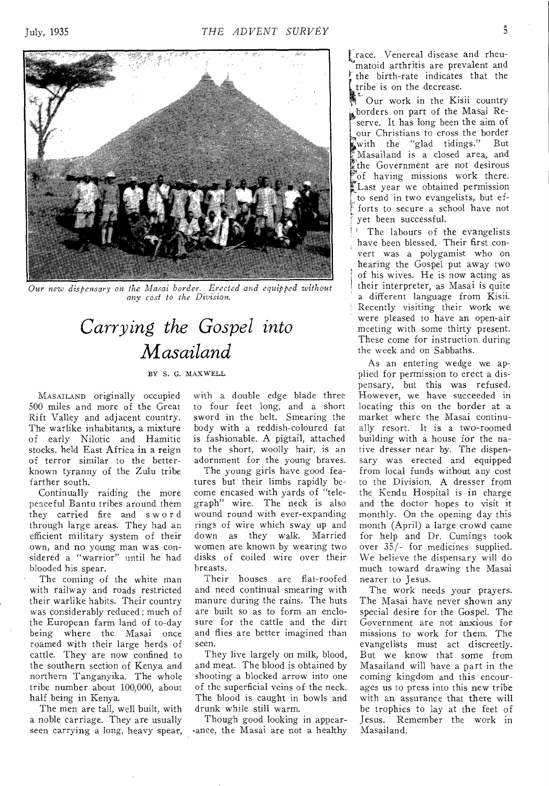

Our new dispensary on the Masai border. Erected and equipped without *any cost to the Division.* 

## *Carrying the Gospel into Masailand*

#### EY S. G. MAXWELL

MASAILAND originally occupied 500 miles and more of the Great Rift Valley and adjacent country. The warlike inhabitants, a mixture of early Nilotic and Hamitic stocks, held East Africa in a reign of terror similar to the betterknown tyranny of the Zulu tribe farther south.

Continually raiding the more peaceful Bantu tribes around them they carried fire and sword through large areas. They had an efficient military system of their own, and no young man was considered a "warrior" until he had blooded his spear.

The coming of the white man with railway and roads restricted their warlike habits. Their country was considerably reduced; much of the European farm land of to-day being where the Masai once roamed with their large herds of cattle. They are now confined to the southern section of Kenya and northern Tanganyika. The whole tribe number about 100,000, about half being in Kenya.

The men are tall, well built, with a noble carriage. They are usually seen carrying a long, heavy spear, with a double edge blade three to four feet long, and a short sword in the belt. Smearing the body with a reddish-coloured fat is fashionable. A pigtail, attached to the short, woolly hair, is an adornment for the young braves.

The young girls have good features but their limbs rapidly become encased with yards of "telegraph" wire. The neck is also wound round with ever-expanding rings of wire which sway up and down as they walk. Married women are known by wearing two disks of coiled wire over their breasts.

Their houses are flat-roofed and need continual smearing with manure during the rains. The huts are built so as to form an enclosure for the cattle and the dirt and flies are better imagined than seen.

They live largely on milk, blood, and meat. The blood is obtained by shooting a blocked arrow into one of the superficial veins of the neck. The blood is caught in bowls and drunk while still warm.

Though good looking in appear- -ance, the Masai are not a healthy

race. Venereal disease and rheumatoid arthritis are prevalent and the birth-rate indicates that the tribe is on the decrease.

- Our work in the Kisii country borders on part of the Masai Reserve. It has long been the aim of Last year we obtained permission<br>Ito send in two evangelists, but efour Christians to cross the border with the "glad tidings." But  $\sqrt[\mathbb{R}]{\rm {Masailand}}$  is a closed area, and the Government are not desirous  $\%$  of having missions work there. to send in two evangelists, but ef-G forts to secure a school have not yet been successful.

The labours of the evangelists have been blessed. Their first convert was a polygamist who on hearing the Gospel put away two of his wives. He is now acting as their interpreter, as Masai is quite a different language from Kisii. Recently visiting their work we were pleased to have an open-air meeting with some thirty present. These come for instruction during the week and on Sabbaths.

As an entering wedge we applied for permission to erect a dispensary, but this was refused. However, we have succeeded in locating this on the border at a market where the Masai continually resort. It is a two-roomed building with a house for the native dresser near by. The dispensary was erected and equipped from local funds without any cost to the Division. A dresser from the Kendu Hospital is in charge and the doctor hopes to visit it monthly. On the opening day this month (April) a large crowd came for help and Dr. Cumings took over 35/- for medicines supplied. We believe the dispensary will do much toward drawing the Masai nearer to Jesus.

The work needs your prayers. The Masai have never shown any special desire for the Gospel. The Government are not anxious for missions to work for them. The evangelists must act discreetly. But we know that some from Masailand will have a part in the coming kingdom and this encourages us to press into this new tribe with an assurance that there will be trophies to lay at the feet of Jesus. Remember the work in Masailand.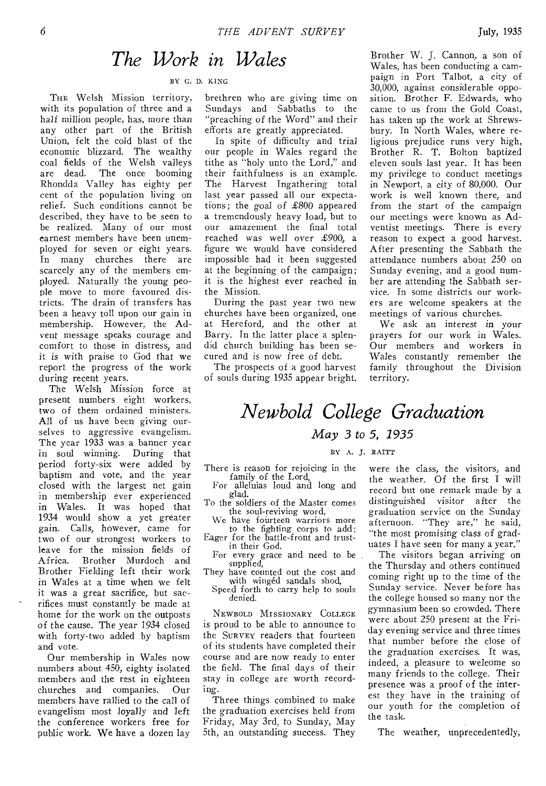### *The Work in Wales*

#### BY G. D. KING

THE Welsh Mission territory, with its population of three and a half million people, has, more than any other part of the British Union, felt the cold blast of the economic blizzard. The wealthy coal fields of the Welsh valleys are dead. The once booming Rhondda Valley has eighty per cent of the population living on relief. Such conditions cannot be described, they have to be seen to be realized. Many of our most earnest members have been unemployed for seven or eight years. In many churches there are scarcely any of the members employed. Naturally the young people move to more favoured districts. The drain of transfers has been a heavy toll upon our gain in membership. However, the Advent message speaks courage and comfort to those in distress, and it is with praise to *God* that we report the progress of the work during recent years.

The Welsh Mission force at present numbers eight workers, two of them ordained ministers. All of us have been giving ourselves to aggressive evangelism. The year 1933 was a banner year in soul winning. During that period forty-six were added by baptism and vote, and the year closed with the largest net gain in membership ever experienced in Wales. It was hoped that 1934 would show a yet greater gain. Calls, however, came for two of our strongest workers to leave for the mission fields of Africa. Brother Murdoch and Brother Fielding left their work in Wales at a time when we felt it was a great sacrifice, but sacrifices must constantly be made at home for the work on the outposts of the cause. The year 1934 closed with forty-two added by baptism and vote.

Our membership in Wales now numbers about 450, eighty isolated members and the rest in eighteen<br>churches and companies. Our churches and companies. members have rallied to the call of evangelism most loyally and left the conference workers free for public work. We have a dozen lay brethren who are giving time on Sundays and Sabbaths to the "preaching of the Word" and their efforts are greatly appreciated.

In spite of difficulty and trial our people in Wales regard the tithe as "holy unto the Lord," and their faithfulness is an example. The Harvest Ingathering total last year passed all our expectations; the goal of £800 appeared a tremendously heavy load, but to our amazement the final total reached was well over £900, a figure we would have considered impossible had it been suggested at the beginning of the campaign; it is the highest ever reached in the Mission.

During the past year two new churches have been organized, one at Hereford, and the other at Barry. In the latter place a splendid church building has been secured and is now free of debt.

The prospects of a good harvest of souls during 1935 appear bright.

Brother W. J. Cannon, a son of Wales, has been conducting a campaign in Port Talbot, a city of 30,000, *against* considerable opposition. Brother F. Edwards, who came to us from the Gold Coast, has taken up the work at Shrewsbury. In North Wales, where religious prejudice runs very high, Brother R. T. Bolton baptized eleven souls last year. It has been my privilege to conduct meetings in Newport, a city of 80,000. Our work is well known there, and from the start of the campaign our meetings were known as Adventist meetings. There is every reason to expect a good harvest. After presenting the Sabbath the attendance numbers about 250 on Sunday evening, and a good number are attending the Sabbath service. In some districts our workers are welcome speakers at the meetings of various churches.

We ask an interest in your prayers for our work in Wales. Our members and workers in Wales constantly remember the family throughout the Division territory.

### *Newbold College Graduation May 3 to 5, 1935*

#### BY A. J. RAITT

There is reason for rejoicing in the

family of the Lord, For alleluias loud and long and glad.

To the soldiers of the Master comes the soul-reviving word,

We have fourteen warriors more to the fighting corps to add;

- Eager for the battle-front and trustin their God.
- For every grace and need to be supplied,
- They have counted out the cost and with winged sandals shod,
- Speed forth to carry help to souls denied.

NEWBOLD MISSIONARY COLLEGE is proud to be able to announce to the SURVEY readers that fourteen of its students have completed their course and are now ready to enter the field. The final days of their stay in college are worth recording.

Three things combined to make the graduation exercises held from Friday, May 3rd, to Sunday, May 5th, an outstanding success. They

were the class, the visitors, and the weather. Of the first I will record but one remark made by a distinguished visitor after the graduation service on the Sunday afternoon. "They are," he said, "the most promising class of *graduates* I have seen for many a year."

The visitors began arriving on the Thursday and others continued coming right up to the time of the Sunday service. Never before has the college housed so many nor the gymnasium been so crowded. There were about 250 present at the Friday evening service and three times that number before the close of the graduation exercises. It was, indeed, a pleasure to welcome so many friends to the college. Their presence was a proof of the interest they have in the training of our youth for the completion of the task.

The weather, unprecedentedly,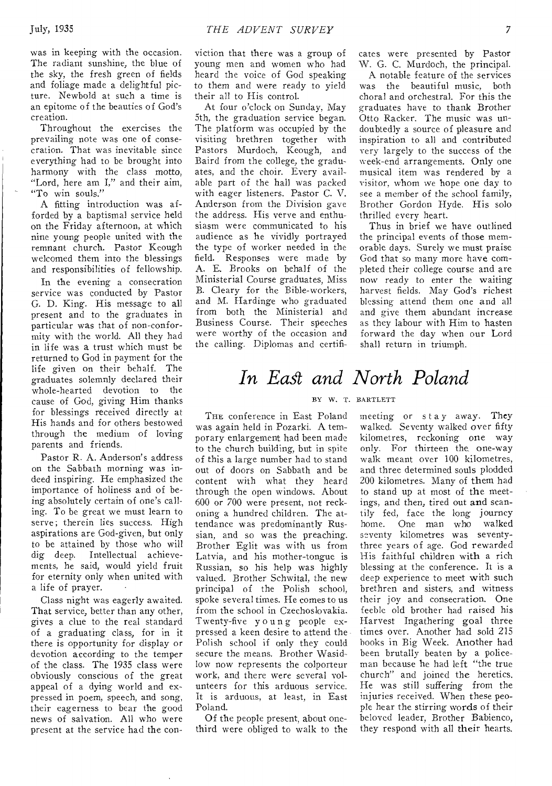was in keeping with the occasion. The radiant sunshine, the blue of the sky, the fresh green of fields and foliage made a delightful picture. Newbold at such a time is an epitome of the beauties of God's creation.

Throughout the exercises the prevailing note was one of consecration. That was inevitable since everything had to be brought into harmony with the class motto, "Lord, here am I," and their aim, "To win souls."

A fitting introduction was afforded by a baptismal service held on the Friday afternoon, at which nine young people united with the remnant church. Pastor Keough welcomed them into the blessings and responsibilities of fellowship.

In the evening a consecration service was conducted by Pastor G. D. King. His message to all present and to the graduates in particular was that of non-conformity with the world. All they had in life was a trust which must be returned to God in payment for the life given on their behalf. The graduates solemnly declared their whole-hearted devotion to the cause of God, giving Him thanks for blessings received directly at His hands and for others bestowed through the medium of loving parents and friends.

Pastor R. A. Anderson's address on the Sabbath morning was indeed inspiring. He emphasized the importance of holiness and of being absolutely certain of one's calling. To be great we must learn to serve; therein lies success. High aspirations are God-given, but only to be attained by those who will dig deep. Intellectual achievements, he said, would yield fruit for eternity only when united with a life of prayer.

Class night was eagerly awaited. That service, better than any other, gives a clue to the real standard of a graduating class, for in it there is opportunity for display or devotion according to the temper of the class. The 1935 class were obviously conscious of the great appeal of a dying world and expressed in poem, speech, and song, their eagerness to bear the good news of salvation. All who were present at the service had the con-

viction that there was a group of young men and women who had heard the voice of God speaking to them and were ready to yield their all to His control.

At four o'clock on Sunday, May 5th, the graduation service began. The platform was occupied by the visiting brethren together with Pastors Murdoch, Keough, and Baird from the college, the graduates, and the choir. Every available part of the hall was packed with eager listeners. Pastor C. V. Anderson from the Division gave the address. His verve and enthusiasm were communicated to his audience as he vividly portrayed the type of worker needed in the field. Responses were made by A. E. Brooks on behalf of the Ministerial Course graduates, Miss B. Cleary for the Bible-workers, and M. Hardinge who graduated from both the Ministerial and Business Course. Their speeches were worthy of the occasion and the calling. Diplomas and certificates were presented by Pastor W. G. C. Murdoch, the principal.

A notable feature of the services was the beautiful music, both choral and orchestral. For this the graduates have to thank Brother Otto Racker. The music was undoubtedly a source of pleasure and inspiration to all and contributed very largely to the success of the week-end arrangements. Only one musical item was rendered by a visitor, whom we hope one day to see a member of the school family, Brother Gordon Hyde. His solo thrilled every heart.

Thus in brief we have outlined the principal events of those memorable days. Surely we must praise God that so many more have completed their college course and are now ready to enter the waiting harvest fields. May God's richest blessing attend them one and all and give them abundant increase as they labour with Him to hasten forward the day when our Lord shall return in triumph.

### *In East and North Poland*

#### BY W. T. BARTLETT

THE conference in East Poland was again held in Pozarki. A temporary enlargement had been made to the church building, but in spite of this a large number had to stand out of doors on Sabbath and be content with what they heard through the open windows. About 600 or 700 were present, not reckoning a hundred children. The attendance was predominantly Russian, and so was the preaching. Brother Eglit was with us from Latvia, and his mother-tongue is Russian, so his help was highly valued. Brother Schwital, the new principal of the Polish school, spoke several times. He comes to us from the school in Czechoslovakia. Twenty-five young people expressed a keen desire to attend the Polish school if only they could secure the means. Brother Wasidlow now represents the colporteur work, and there were several volunteers for this arduous service. It is arduous, at least, in East Poland.

Of the people present, about onethird were obliged to walk to the meeting or stay away. They walked. Seventy walked over fifty kilometres, reckoning one way only. For thirteen the. one-way walk meant over 100 kilometres, and three determined souls plodded 200 kilometres. Many of them had to stand up at most of the meetings, and then, tired out and scantily fed, face the long journey<br>home. One man who walked One man who walked seventy kilometres was seventythree years of age. God rewarded His faithful children with a rich blessing at the conference. It is a deep experience to meet with such brethren and sisters, and witness their joy and consecration. One feeble old brother had raised his Harvest Ingathering goal three times over. Another had sold 215 hooks in Big Week. Another had been brutally beaten *by* a policeman because he had left "the true church" and joined the heretics. He was still suffering from the injuries received. When these people hear the stirring words of their beloved leader, Brother Babienco, they respond with all their hearts.